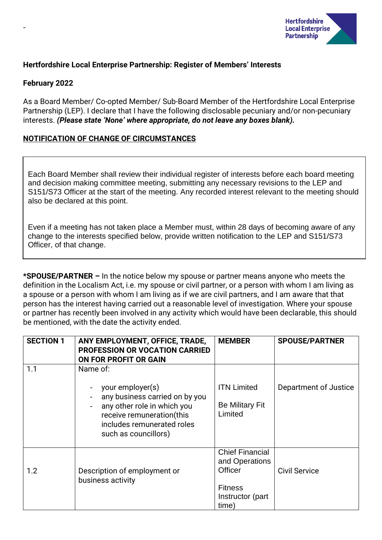

## **Hertfordshire Local Enterprise Partnership: Register of Members' Interests**

### **February 2022**

-

As a Board Member/ Co-opted Member/ Sub-Board Member of the Hertfordshire Local Enterprise Partnership (LEP). I declare that I have the following disclosable pecuniary and/or non-pecuniary interests. *(Please state 'None' where appropriate, do not leave any boxes blank).*

## **NOTIFICATION OF CHANGE OF CIRCUMSTANCES**

Each Board Member shall review their individual register of interests before each board meeting and decision making committee meeting, submitting any necessary revisions to the LEP and S151/S73 Officer at the start of the meeting. Any recorded interest relevant to the meeting should also be declared at this point.

Even if a meeting has not taken place a Member must, within 28 days of becoming aware of any change to the interests specified below, provide written notification to the LEP and S151/S73 Officer, of that change.

**\*SPOUSE/PARTNER –** In the notice below my spouse or partner means anyone who meets the definition in the Localism Act, i.e. my spouse or civil partner, or a person with whom I am living as a spouse or a person with whom I am living as if we are civil partners, and I am aware that that person has the interest having carried out a reasonable level of investigation. Where your spouse or partner has recently been involved in any activity which would have been declarable, this should be mentioned, with the date the activity ended.

| <b>SECTION 1</b> | ANY EMPLOYMENT, OFFICE, TRADE,<br>PROFESSION OR VOCATION CARRIED<br>ON FOR PROFIT OR GAIN                                                                            | <b>MEMBER</b>                                                                                      | <b>SPOUSE/PARTNER</b> |
|------------------|----------------------------------------------------------------------------------------------------------------------------------------------------------------------|----------------------------------------------------------------------------------------------------|-----------------------|
| 1.1              | Name of:                                                                                                                                                             |                                                                                                    |                       |
|                  | your employer(s)<br>any business carried on by you<br>any other role in which you<br>receive remuneration(this<br>includes remunerated roles<br>such as councillors) | <b>ITN Limited</b><br><b>Be Military Fit</b><br>Limited                                            | Department of Justice |
| 1.2              | Description of employment or<br>business activity                                                                                                                    | <b>Chief Financial</b><br>and Operations<br>Officer<br><b>Fitness</b><br>Instructor (part<br>time) | <b>Civil Service</b>  |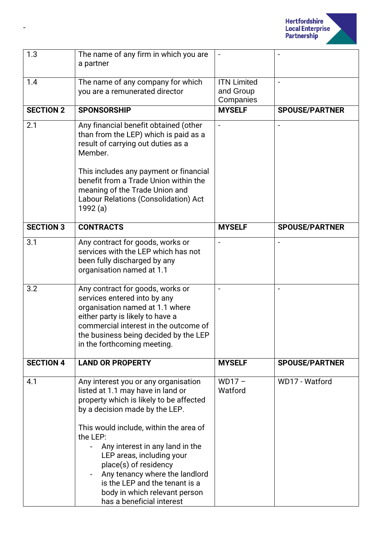

| 1.3              | The name of any firm in which you are<br>a partner                                                                                                                                                                                                                                                                                                                                                                                      |                    |                       |
|------------------|-----------------------------------------------------------------------------------------------------------------------------------------------------------------------------------------------------------------------------------------------------------------------------------------------------------------------------------------------------------------------------------------------------------------------------------------|--------------------|-----------------------|
| 1.4              | The name of any company for which                                                                                                                                                                                                                                                                                                                                                                                                       | <b>ITN Limited</b> |                       |
|                  | you are a remunerated director                                                                                                                                                                                                                                                                                                                                                                                                          | and Group          |                       |
|                  |                                                                                                                                                                                                                                                                                                                                                                                                                                         | Companies          |                       |
| <b>SECTION 2</b> | <b>SPONSORSHIP</b>                                                                                                                                                                                                                                                                                                                                                                                                                      | <b>MYSELF</b>      | <b>SPOUSE/PARTNER</b> |
| 2.1              | Any financial benefit obtained (other<br>than from the LEP) which is paid as a<br>result of carrying out duties as a<br>Member.                                                                                                                                                                                                                                                                                                         |                    |                       |
|                  | This includes any payment or financial<br>benefit from a Trade Union within the<br>meaning of the Trade Union and<br>Labour Relations (Consolidation) Act<br>1992 (a)                                                                                                                                                                                                                                                                   |                    |                       |
| <b>SECTION 3</b> | <b>CONTRACTS</b>                                                                                                                                                                                                                                                                                                                                                                                                                        | <b>MYSELF</b>      | <b>SPOUSE/PARTNER</b> |
| 3.1              | Any contract for goods, works or<br>services with the LEP which has not<br>been fully discharged by any<br>organisation named at 1.1                                                                                                                                                                                                                                                                                                    |                    |                       |
| 3.2              | Any contract for goods, works or<br>services entered into by any<br>organisation named at 1.1 where<br>either party is likely to have a<br>commercial interest in the outcome of<br>the business being decided by the LEP<br>in the forthcoming meeting.                                                                                                                                                                                |                    |                       |
| <b>SECTION 4</b> | <b>LAND OR PROPERTY</b>                                                                                                                                                                                                                                                                                                                                                                                                                 | <b>MYSELF</b>      | <b>SPOUSE/PARTNER</b> |
| 4.1              | Any interest you or any organisation<br>listed at 1.1 may have in land or<br>property which is likely to be affected<br>by a decision made by the LEP.<br>This would include, within the area of<br>the LEP:<br>Any interest in any land in the<br>LEP areas, including your<br>place(s) of residency<br>Any tenancy where the landlord<br>is the LEP and the tenant is a<br>body in which relevant person<br>has a beneficial interest | $WD17-$<br>Watford | WD17 - Watford        |

-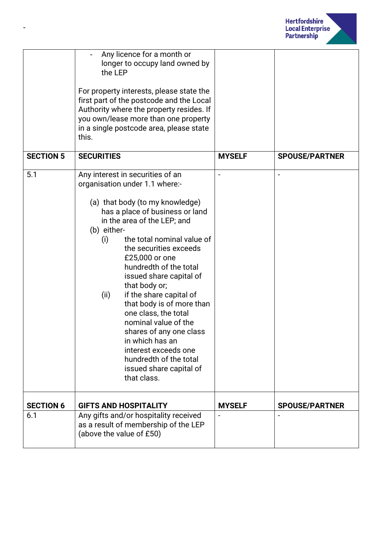

|                  | Any licence for a month or<br>longer to occupy land owned by<br>the LEP<br>For property interests, please state the<br>first part of the postcode and the Local<br>Authority where the property resides. If<br>you own/lease more than one property<br>in a single postcode area, please state<br>this.                                                                                                                                                                                                                                                                                                 |               |                       |
|------------------|---------------------------------------------------------------------------------------------------------------------------------------------------------------------------------------------------------------------------------------------------------------------------------------------------------------------------------------------------------------------------------------------------------------------------------------------------------------------------------------------------------------------------------------------------------------------------------------------------------|---------------|-----------------------|
| <b>SECTION 5</b> | <b>SECURITIES</b>                                                                                                                                                                                                                                                                                                                                                                                                                                                                                                                                                                                       | <b>MYSELF</b> | <b>SPOUSE/PARTNER</b> |
| 5.1              | Any interest in securities of an<br>organisation under 1.1 where:-<br>(a) that body (to my knowledge)<br>has a place of business or land<br>in the area of the LEP; and<br>(b) either-<br>the total nominal value of<br>(i)<br>the securities exceeds<br>£25,000 or one<br>hundredth of the total<br>issued share capital of<br>that body or;<br>(ii)<br>if the share capital of<br>that body is of more than<br>one class, the total<br>nominal value of the<br>shares of any one class<br>in which has an<br>interest exceeds one<br>hundredth of the total<br>issued share capital of<br>that class. |               |                       |
| <b>SECTION 6</b> | <b>GIFTS AND HOSPITALITY</b>                                                                                                                                                                                                                                                                                                                                                                                                                                                                                                                                                                            | <b>MYSELF</b> | <b>SPOUSE/PARTNER</b> |
| 6.1              | Any gifts and/or hospitality received<br>as a result of membership of the LEP<br>(above the value of £50)                                                                                                                                                                                                                                                                                                                                                                                                                                                                                               |               |                       |

-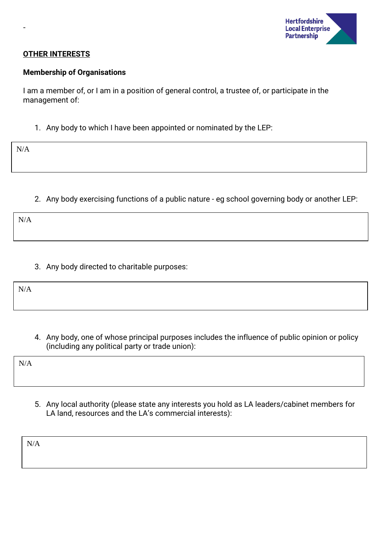

### **OTHER INTERESTS**

#### **Membership of Organisations**

I am a member of, or I am in a position of general control, a trustee of, or participate in the management of:

1. Any body to which I have been appointed or nominated by the LEP:

N/A

-

2. Any body exercising functions of a public nature - eg school governing body or another LEP:

N/A

3. Any body directed to charitable purposes:

N/A

4. Any body, one of whose principal purposes includes the influence of public opinion or policy (including any political party or trade union):

N/A

5. Any local authority (please state any interests you hold as LA leaders/cabinet members for LA land, resources and the LA's commercial interests):

N/A